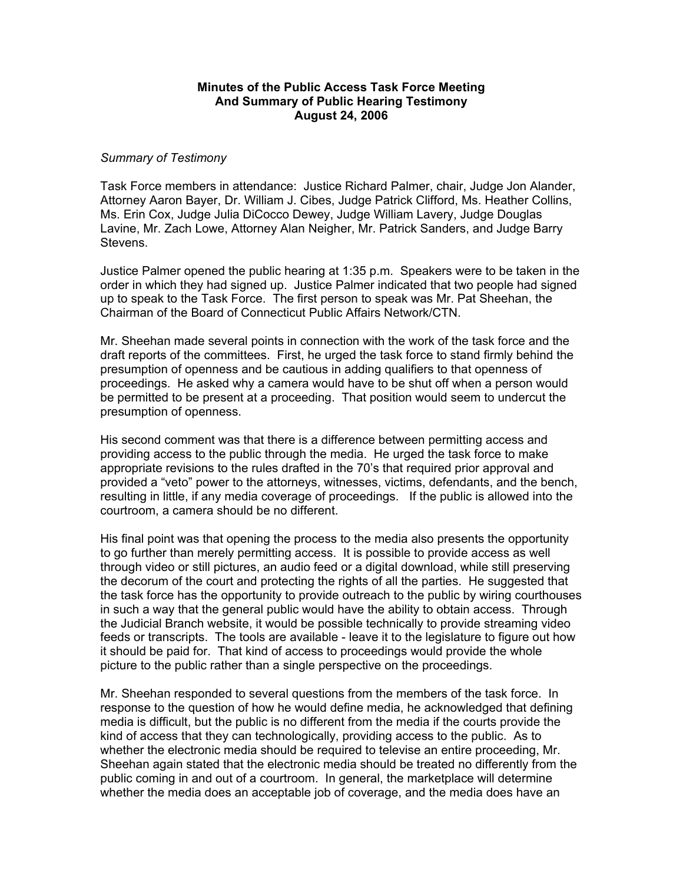## **Minutes of the Public Access Task Force Meeting And Summary of Public Hearing Testimony August 24, 2006**

## *Summary of Testimony*

Task Force members in attendance: Justice Richard Palmer, chair, Judge Jon Alander, Attorney Aaron Bayer, Dr. William J. Cibes, Judge Patrick Clifford, Ms. Heather Collins, Ms. Erin Cox, Judge Julia DiCocco Dewey, Judge William Lavery, Judge Douglas Lavine, Mr. Zach Lowe, Attorney Alan Neigher, Mr. Patrick Sanders, and Judge Barry Stevens.

Justice Palmer opened the public hearing at 1:35 p.m. Speakers were to be taken in the order in which they had signed up. Justice Palmer indicated that two people had signed up to speak to the Task Force. The first person to speak was Mr. Pat Sheehan, the Chairman of the Board of Connecticut Public Affairs Network/CTN.

Mr. Sheehan made several points in connection with the work of the task force and the draft reports of the committees. First, he urged the task force to stand firmly behind the presumption of openness and be cautious in adding qualifiers to that openness of proceedings. He asked why a camera would have to be shut off when a person would be permitted to be present at a proceeding. That position would seem to undercut the presumption of openness.

His second comment was that there is a difference between permitting access and providing access to the public through the media. He urged the task force to make appropriate revisions to the rules drafted in the 70's that required prior approval and provided a "veto" power to the attorneys, witnesses, victims, defendants, and the bench, resulting in little, if any media coverage of proceedings. If the public is allowed into the courtroom, a camera should be no different.

His final point was that opening the process to the media also presents the opportunity to go further than merely permitting access. It is possible to provide access as well through video or still pictures, an audio feed or a digital download, while still preserving the decorum of the court and protecting the rights of all the parties. He suggested that the task force has the opportunity to provide outreach to the public by wiring courthouses in such a way that the general public would have the ability to obtain access. Through the Judicial Branch website, it would be possible technically to provide streaming video feeds or transcripts. The tools are available - leave it to the legislature to figure out how it should be paid for. That kind of access to proceedings would provide the whole picture to the public rather than a single perspective on the proceedings.

Mr. Sheehan responded to several questions from the members of the task force. In response to the question of how he would define media, he acknowledged that defining media is difficult, but the public is no different from the media if the courts provide the kind of access that they can technologically, providing access to the public. As to whether the electronic media should be required to televise an entire proceeding, Mr. Sheehan again stated that the electronic media should be treated no differently from the public coming in and out of a courtroom. In general, the marketplace will determine whether the media does an acceptable job of coverage, and the media does have an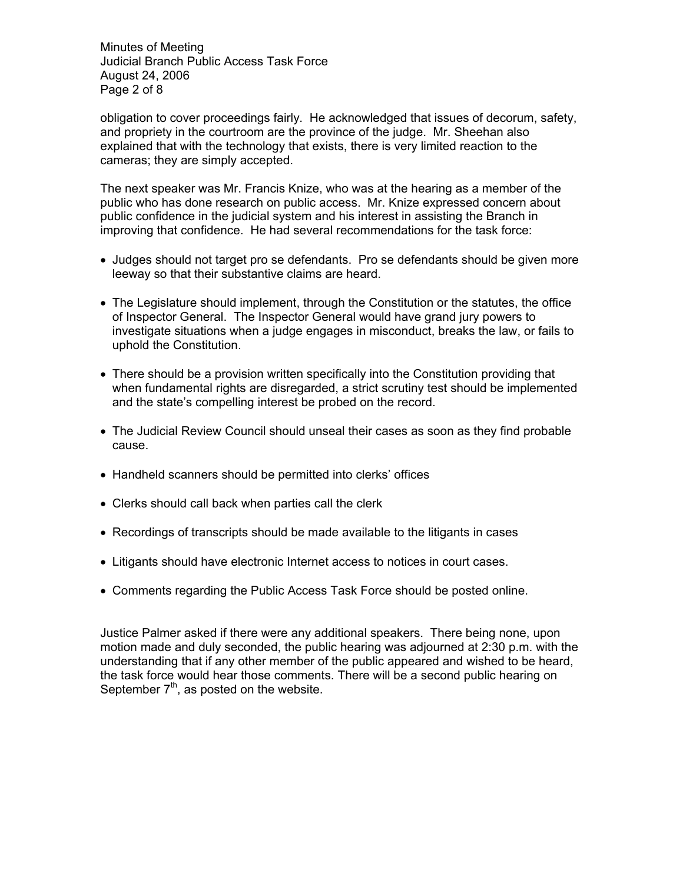Minutes of Meeting Judicial Branch Public Access Task Force August 24, 2006 Page 2 of 8

obligation to cover proceedings fairly. He acknowledged that issues of decorum, safety, and propriety in the courtroom are the province of the judge. Mr. Sheehan also explained that with the technology that exists, there is very limited reaction to the cameras; they are simply accepted.

The next speaker was Mr. Francis Knize, who was at the hearing as a member of the public who has done research on public access. Mr. Knize expressed concern about public confidence in the judicial system and his interest in assisting the Branch in improving that confidence. He had several recommendations for the task force:

- Judges should not target pro se defendants. Pro se defendants should be given more leeway so that their substantive claims are heard.
- The Legislature should implement, through the Constitution or the statutes, the office of Inspector General. The Inspector General would have grand jury powers to investigate situations when a judge engages in misconduct, breaks the law, or fails to uphold the Constitution.
- There should be a provision written specifically into the Constitution providing that when fundamental rights are disregarded, a strict scrutiny test should be implemented and the state's compelling interest be probed on the record.
- The Judicial Review Council should unseal their cases as soon as they find probable cause.
- Handheld scanners should be permitted into clerks' offices
- Clerks should call back when parties call the clerk
- Recordings of transcripts should be made available to the litigants in cases
- Litigants should have electronic Internet access to notices in court cases.
- Comments regarding the Public Access Task Force should be posted online.

Justice Palmer asked if there were any additional speakers. There being none, upon motion made and duly seconded, the public hearing was adjourned at 2:30 p.m. with the understanding that if any other member of the public appeared and wished to be heard, the task force would hear those comments. There will be a second public hearing on September  $7<sup>th</sup>$ , as posted on the website.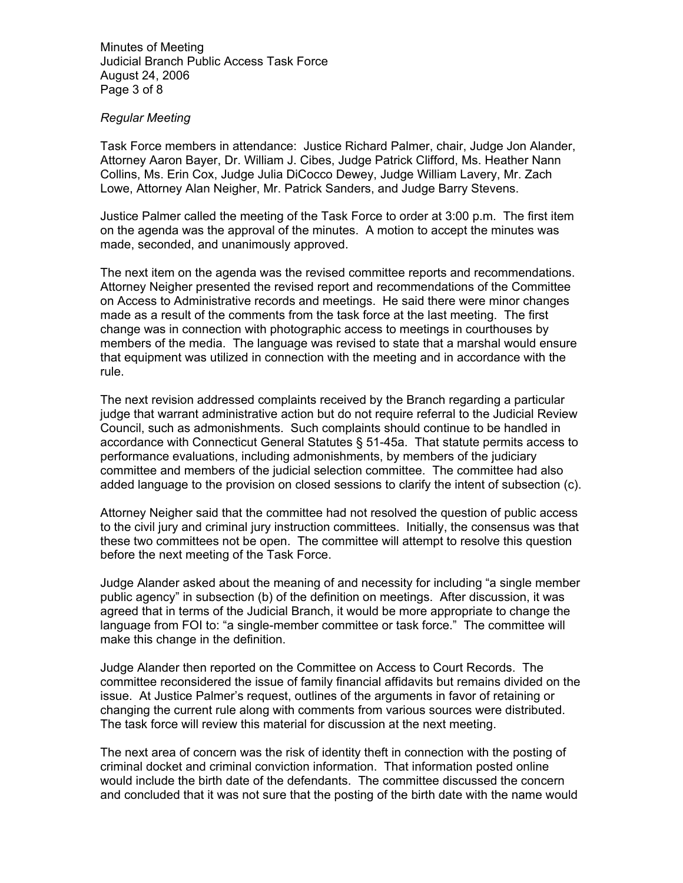Minutes of Meeting Judicial Branch Public Access Task Force August 24, 2006 Page 3 of 8

## *Regular Meeting*

Task Force members in attendance: Justice Richard Palmer, chair, Judge Jon Alander, Attorney Aaron Bayer, Dr. William J. Cibes, Judge Patrick Clifford, Ms. Heather Nann Collins, Ms. Erin Cox, Judge Julia DiCocco Dewey, Judge William Lavery, Mr. Zach Lowe, Attorney Alan Neigher, Mr. Patrick Sanders, and Judge Barry Stevens.

Justice Palmer called the meeting of the Task Force to order at 3:00 p.m. The first item on the agenda was the approval of the minutes. A motion to accept the minutes was made, seconded, and unanimously approved.

The next item on the agenda was the revised committee reports and recommendations. Attorney Neigher presented the revised report and recommendations of the Committee on Access to Administrative records and meetings. He said there were minor changes made as a result of the comments from the task force at the last meeting. The first change was in connection with photographic access to meetings in courthouses by members of the media. The language was revised to state that a marshal would ensure that equipment was utilized in connection with the meeting and in accordance with the rule.

The next revision addressed complaints received by the Branch regarding a particular judge that warrant administrative action but do not require referral to the Judicial Review Council, such as admonishments. Such complaints should continue to be handled in accordance with Connecticut General Statutes § 51-45a. That statute permits access to performance evaluations, including admonishments, by members of the judiciary committee and members of the judicial selection committee. The committee had also added language to the provision on closed sessions to clarify the intent of subsection (c).

Attorney Neigher said that the committee had not resolved the question of public access to the civil jury and criminal jury instruction committees. Initially, the consensus was that these two committees not be open. The committee will attempt to resolve this question before the next meeting of the Task Force.

Judge Alander asked about the meaning of and necessity for including "a single member public agency" in subsection (b) of the definition on meetings. After discussion, it was agreed that in terms of the Judicial Branch, it would be more appropriate to change the language from FOI to: "a single-member committee or task force." The committee will make this change in the definition.

Judge Alander then reported on the Committee on Access to Court Records. The committee reconsidered the issue of family financial affidavits but remains divided on the issue. At Justice Palmer's request, outlines of the arguments in favor of retaining or changing the current rule along with comments from various sources were distributed. The task force will review this material for discussion at the next meeting.

The next area of concern was the risk of identity theft in connection with the posting of criminal docket and criminal conviction information. That information posted online would include the birth date of the defendants. The committee discussed the concern and concluded that it was not sure that the posting of the birth date with the name would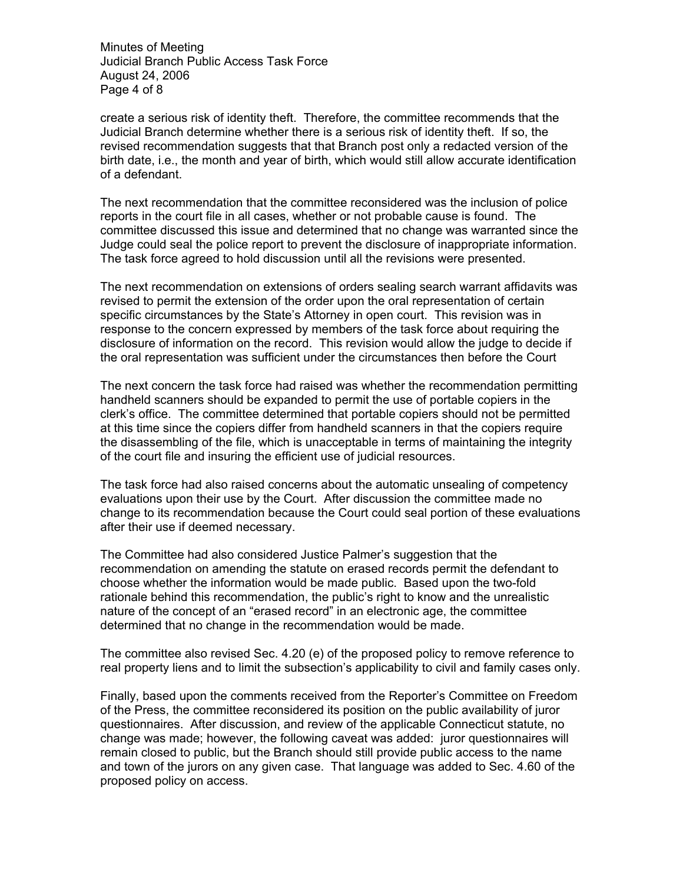Minutes of Meeting Judicial Branch Public Access Task Force August 24, 2006 Page 4 of 8

create a serious risk of identity theft. Therefore, the committee recommends that the Judicial Branch determine whether there is a serious risk of identity theft. If so, the revised recommendation suggests that that Branch post only a redacted version of the birth date, i.e., the month and year of birth, which would still allow accurate identification of a defendant.

The next recommendation that the committee reconsidered was the inclusion of police reports in the court file in all cases, whether or not probable cause is found. The committee discussed this issue and determined that no change was warranted since the Judge could seal the police report to prevent the disclosure of inappropriate information. The task force agreed to hold discussion until all the revisions were presented.

The next recommendation on extensions of orders sealing search warrant affidavits was revised to permit the extension of the order upon the oral representation of certain specific circumstances by the State's Attorney in open court. This revision was in response to the concern expressed by members of the task force about requiring the disclosure of information on the record. This revision would allow the judge to decide if the oral representation was sufficient under the circumstances then before the Court

The next concern the task force had raised was whether the recommendation permitting handheld scanners should be expanded to permit the use of portable copiers in the clerk's office. The committee determined that portable copiers should not be permitted at this time since the copiers differ from handheld scanners in that the copiers require the disassembling of the file, which is unacceptable in terms of maintaining the integrity of the court file and insuring the efficient use of judicial resources.

The task force had also raised concerns about the automatic unsealing of competency evaluations upon their use by the Court. After discussion the committee made no change to its recommendation because the Court could seal portion of these evaluations after their use if deemed necessary.

The Committee had also considered Justice Palmer's suggestion that the recommendation on amending the statute on erased records permit the defendant to choose whether the information would be made public. Based upon the two-fold rationale behind this recommendation, the public's right to know and the unrealistic nature of the concept of an "erased record" in an electronic age, the committee determined that no change in the recommendation would be made.

The committee also revised Sec. 4.20 (e) of the proposed policy to remove reference to real property liens and to limit the subsection's applicability to civil and family cases only.

Finally, based upon the comments received from the Reporter's Committee on Freedom of the Press, the committee reconsidered its position on the public availability of juror questionnaires. After discussion, and review of the applicable Connecticut statute, no change was made; however, the following caveat was added: juror questionnaires will remain closed to public, but the Branch should still provide public access to the name and town of the jurors on any given case. That language was added to Sec. 4.60 of the proposed policy on access.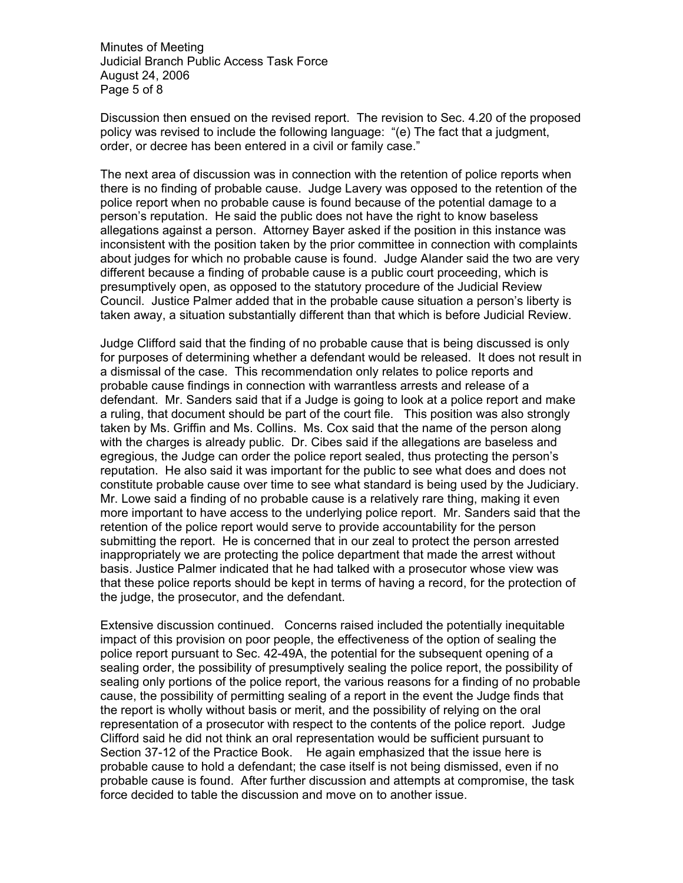Minutes of Meeting Judicial Branch Public Access Task Force August 24, 2006 Page 5 of 8

Discussion then ensued on the revised report. The revision to Sec. 4.20 of the proposed policy was revised to include the following language: "(e) The fact that a judgment, order, or decree has been entered in a civil or family case."

The next area of discussion was in connection with the retention of police reports when there is no finding of probable cause. Judge Lavery was opposed to the retention of the police report when no probable cause is found because of the potential damage to a person's reputation. He said the public does not have the right to know baseless allegations against a person. Attorney Bayer asked if the position in this instance was inconsistent with the position taken by the prior committee in connection with complaints about judges for which no probable cause is found. Judge Alander said the two are very different because a finding of probable cause is a public court proceeding, which is presumptively open, as opposed to the statutory procedure of the Judicial Review Council. Justice Palmer added that in the probable cause situation a person's liberty is taken away, a situation substantially different than that which is before Judicial Review.

Judge Clifford said that the finding of no probable cause that is being discussed is only for purposes of determining whether a defendant would be released. It does not result in a dismissal of the case. This recommendation only relates to police reports and probable cause findings in connection with warrantless arrests and release of a defendant. Mr. Sanders said that if a Judge is going to look at a police report and make a ruling, that document should be part of the court file. This position was also strongly taken by Ms. Griffin and Ms. Collins. Ms. Cox said that the name of the person along with the charges is already public. Dr. Cibes said if the allegations are baseless and egregious, the Judge can order the police report sealed, thus protecting the person's reputation. He also said it was important for the public to see what does and does not constitute probable cause over time to see what standard is being used by the Judiciary. Mr. Lowe said a finding of no probable cause is a relatively rare thing, making it even more important to have access to the underlying police report. Mr. Sanders said that the retention of the police report would serve to provide accountability for the person submitting the report. He is concerned that in our zeal to protect the person arrested inappropriately we are protecting the police department that made the arrest without basis. Justice Palmer indicated that he had talked with a prosecutor whose view was that these police reports should be kept in terms of having a record, for the protection of the judge, the prosecutor, and the defendant.

Extensive discussion continued. Concerns raised included the potentially inequitable impact of this provision on poor people, the effectiveness of the option of sealing the police report pursuant to Sec. 42-49A, the potential for the subsequent opening of a sealing order, the possibility of presumptively sealing the police report, the possibility of sealing only portions of the police report, the various reasons for a finding of no probable cause, the possibility of permitting sealing of a report in the event the Judge finds that the report is wholly without basis or merit, and the possibility of relying on the oral representation of a prosecutor with respect to the contents of the police report. Judge Clifford said he did not think an oral representation would be sufficient pursuant to Section 37-12 of the Practice Book. He again emphasized that the issue here is probable cause to hold a defendant; the case itself is not being dismissed, even if no probable cause is found. After further discussion and attempts at compromise, the task force decided to table the discussion and move on to another issue.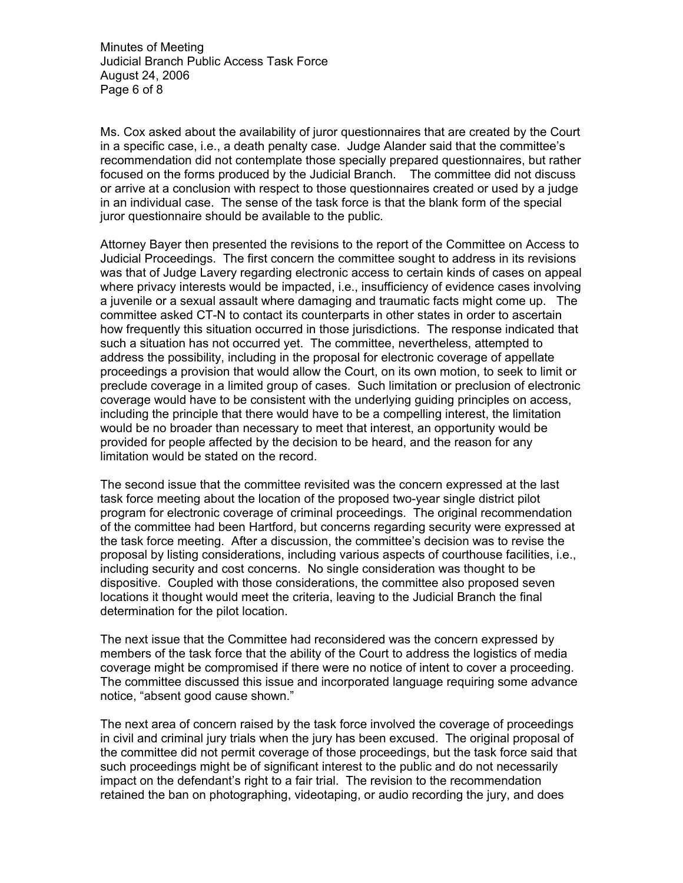Minutes of Meeting Judicial Branch Public Access Task Force August 24, 2006 Page 6 of 8

Ms. Cox asked about the availability of juror questionnaires that are created by the Court in a specific case, i.e., a death penalty case. Judge Alander said that the committee's recommendation did not contemplate those specially prepared questionnaires, but rather focused on the forms produced by the Judicial Branch. The committee did not discuss or arrive at a conclusion with respect to those questionnaires created or used by a judge in an individual case. The sense of the task force is that the blank form of the special juror questionnaire should be available to the public.

Attorney Bayer then presented the revisions to the report of the Committee on Access to Judicial Proceedings. The first concern the committee sought to address in its revisions was that of Judge Lavery regarding electronic access to certain kinds of cases on appeal where privacy interests would be impacted, i.e., insufficiency of evidence cases involving a juvenile or a sexual assault where damaging and traumatic facts might come up. The committee asked CT-N to contact its counterparts in other states in order to ascertain how frequently this situation occurred in those jurisdictions. The response indicated that such a situation has not occurred yet. The committee, nevertheless, attempted to address the possibility, including in the proposal for electronic coverage of appellate proceedings a provision that would allow the Court, on its own motion, to seek to limit or preclude coverage in a limited group of cases. Such limitation or preclusion of electronic coverage would have to be consistent with the underlying guiding principles on access, including the principle that there would have to be a compelling interest, the limitation would be no broader than necessary to meet that interest, an opportunity would be provided for people affected by the decision to be heard, and the reason for any limitation would be stated on the record.

The second issue that the committee revisited was the concern expressed at the last task force meeting about the location of the proposed two-year single district pilot program for electronic coverage of criminal proceedings. The original recommendation of the committee had been Hartford, but concerns regarding security were expressed at the task force meeting. After a discussion, the committee's decision was to revise the proposal by listing considerations, including various aspects of courthouse facilities, i.e., including security and cost concerns. No single consideration was thought to be dispositive. Coupled with those considerations, the committee also proposed seven locations it thought would meet the criteria, leaving to the Judicial Branch the final determination for the pilot location.

The next issue that the Committee had reconsidered was the concern expressed by members of the task force that the ability of the Court to address the logistics of media coverage might be compromised if there were no notice of intent to cover a proceeding. The committee discussed this issue and incorporated language requiring some advance notice, "absent good cause shown."

The next area of concern raised by the task force involved the coverage of proceedings in civil and criminal jury trials when the jury has been excused. The original proposal of the committee did not permit coverage of those proceedings, but the task force said that such proceedings might be of significant interest to the public and do not necessarily impact on the defendant's right to a fair trial. The revision to the recommendation retained the ban on photographing, videotaping, or audio recording the jury, and does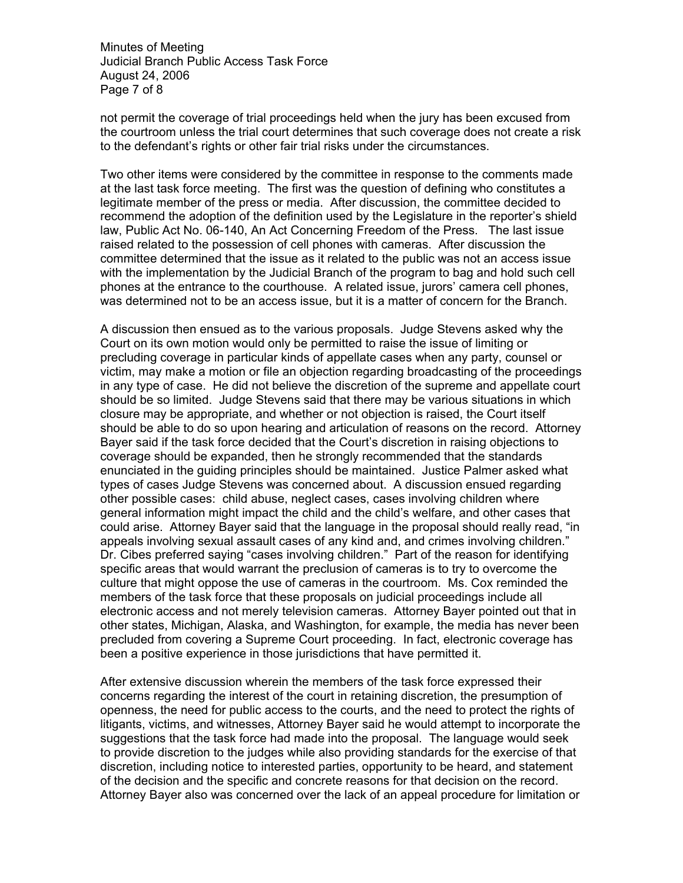Minutes of Meeting Judicial Branch Public Access Task Force August 24, 2006 Page 7 of 8

not permit the coverage of trial proceedings held when the jury has been excused from the courtroom unless the trial court determines that such coverage does not create a risk to the defendant's rights or other fair trial risks under the circumstances.

Two other items were considered by the committee in response to the comments made at the last task force meeting. The first was the question of defining who constitutes a legitimate member of the press or media. After discussion, the committee decided to recommend the adoption of the definition used by the Legislature in the reporter's shield law, Public Act No. 06-140, An Act Concerning Freedom of the Press. The last issue raised related to the possession of cell phones with cameras. After discussion the committee determined that the issue as it related to the public was not an access issue with the implementation by the Judicial Branch of the program to bag and hold such cell phones at the entrance to the courthouse. A related issue, jurors' camera cell phones, was determined not to be an access issue, but it is a matter of concern for the Branch.

A discussion then ensued as to the various proposals. Judge Stevens asked why the Court on its own motion would only be permitted to raise the issue of limiting or precluding coverage in particular kinds of appellate cases when any party, counsel or victim, may make a motion or file an objection regarding broadcasting of the proceedings in any type of case. He did not believe the discretion of the supreme and appellate court should be so limited. Judge Stevens said that there may be various situations in which closure may be appropriate, and whether or not objection is raised, the Court itself should be able to do so upon hearing and articulation of reasons on the record. Attorney Bayer said if the task force decided that the Court's discretion in raising objections to coverage should be expanded, then he strongly recommended that the standards enunciated in the guiding principles should be maintained. Justice Palmer asked what types of cases Judge Stevens was concerned about. A discussion ensued regarding other possible cases: child abuse, neglect cases, cases involving children where general information might impact the child and the child's welfare, and other cases that could arise. Attorney Bayer said that the language in the proposal should really read, "in appeals involving sexual assault cases of any kind and, and crimes involving children." Dr. Cibes preferred saying "cases involving children." Part of the reason for identifying specific areas that would warrant the preclusion of cameras is to try to overcome the culture that might oppose the use of cameras in the courtroom. Ms. Cox reminded the members of the task force that these proposals on judicial proceedings include all electronic access and not merely television cameras. Attorney Bayer pointed out that in other states, Michigan, Alaska, and Washington, for example, the media has never been precluded from covering a Supreme Court proceeding. In fact, electronic coverage has been a positive experience in those jurisdictions that have permitted it.

After extensive discussion wherein the members of the task force expressed their concerns regarding the interest of the court in retaining discretion, the presumption of openness, the need for public access to the courts, and the need to protect the rights of litigants, victims, and witnesses, Attorney Bayer said he would attempt to incorporate the suggestions that the task force had made into the proposal. The language would seek to provide discretion to the judges while also providing standards for the exercise of that discretion, including notice to interested parties, opportunity to be heard, and statement of the decision and the specific and concrete reasons for that decision on the record. Attorney Bayer also was concerned over the lack of an appeal procedure for limitation or